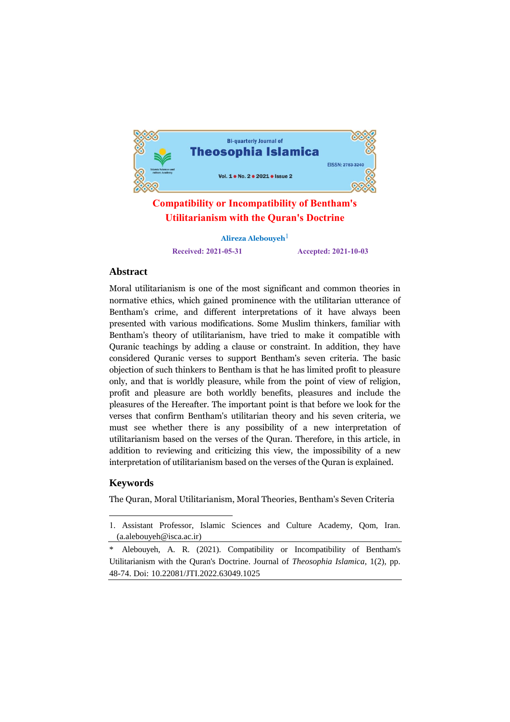

# **Compatibility or Incompatibility of Bentham's Utilitarianism with the Quran's Doctrine**

**Alireza Alebouyeh**1 **Received: 2021-05-31 Accepted: 2021-10-03**

# **Abstract**

Moral utilitarianism is one of the most significant and common theories in normative ethics, which gained prominence with the utilitarian utterance of Bentham's crime, and different interpretations of it have always been presented with various modifications. Some Muslim thinkers, familiar with Bentham's theory of utilitarianism, have tried to make it compatible with Quranic teachings by adding a clause or constraint. In addition, they have considered Quranic verses to support Bentham's seven criteria. The basic objection of such thinkers to Bentham is that he has limited profit to pleasure only, and that is worldly pleasure, while from the point of view of religion, profit and pleasure are both worldly benefits, pleasures and include the pleasures of the Hereafter. The important point is that before we look for the verses that confirm Bentham's utilitarian theory and his seven criteria, we must see whether there is any possibility of a new interpretation of utilitarianism based on the verses of the Quran. Therefore, in this article, in addition to reviewing and criticizing this view, the impossibility of a new interpretation of utilitarianism based on the verses of the Quran is explained.

# **Keywords**

The Quran, Moral Utilitarianism, Moral Theories, Bentham's Seven Criteria

<sup>&</sup>lt;u>.</u> 1. Assistant Professor, Islamic Sciences and Culture Academy, Qom, Iran. (a.alebouyeh@isca.ac.ir)

Alebouyeh, A. R. (2021). Compatibility or Incompatibility of Bentham's Utilitarianism with the Quran's Doctrine. Journal of *Theosophia Islamica*, 1(2), pp. 48-74. Doi: 10.22081/JTI.2022.63049.1025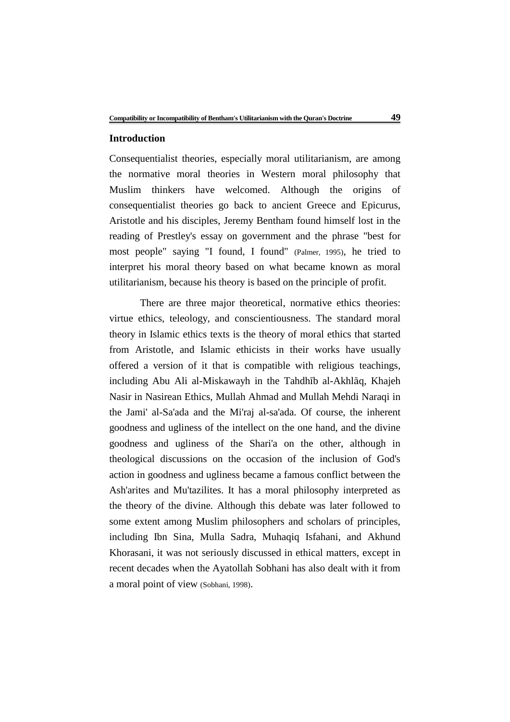## **Introduction**

Consequentialist theories, especially moral utilitarianism, are among the normative moral theories in Western moral philosophy that Muslim thinkers have welcomed. Although the origins of consequentialist theories go back to ancient Greece and Epicurus, Aristotle and his disciples, Jeremy Bentham found himself lost in the reading of Prestley's essay on government and the phrase "best for most people" saying "I found, I found" (Palmer, 1995), he tried to interpret his moral theory based on what became known as moral utilitarianism, because his theory is based on the principle of profit.

There are three major theoretical, normative ethics theories: virtue ethics, teleology, and conscientiousness. The standard moral theory in Islamic ethics texts is the theory of moral ethics that started from Aristotle, and Islamic ethicists in their works have usually offered a version of it that is compatible with religious teachings, including Abu Ali al-Miskawayh in the Tahdhīb al-Akhlāq, Khajeh Nasir in Nasirean Ethics, Mullah Ahmad and Mullah Mehdi Naraqi in the Jami' al-Sa'ada and the Mi'raj al-sa'ada. Of course, the inherent goodness and ugliness of the intellect on the one hand, and the divine goodness and ugliness of the Shari'a on the other, although in theological discussions on the occasion of the inclusion of God's action in goodness and ugliness became a famous conflict between the Ash'arites and Mu'tazilites. It has a moral philosophy interpreted as the theory of the divine. Although this debate was later followed to some extent among Muslim philosophers and scholars of principles, including Ibn Sina, Mulla Sadra, Muhaqiq Isfahani, and Akhund Khorasani, it was not seriously discussed in ethical matters, except in recent decades when the Ayatollah Sobhani has also dealt with it from a moral point of view (Sobhani, 1998).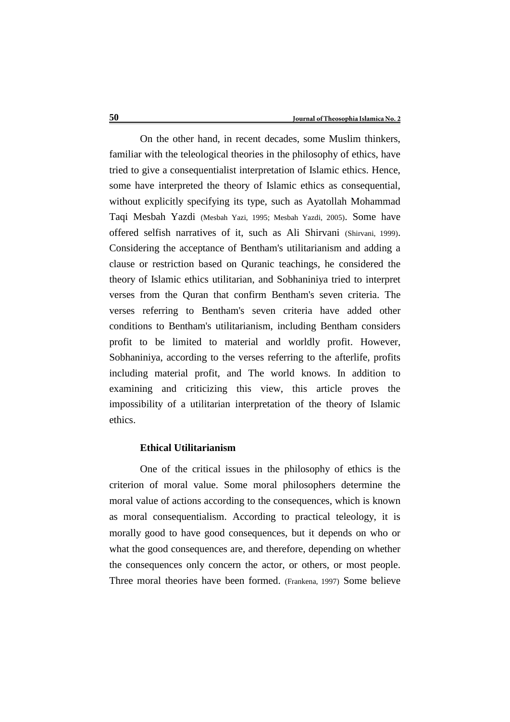On the other hand, in recent decades, some Muslim thinkers, familiar with the teleological theories in the philosophy of ethics, have tried to give a consequentialist interpretation of Islamic ethics. Hence, some have interpreted the theory of Islamic ethics as consequential, without explicitly specifying its type, such as Ayatollah Mohammad Taqi Mesbah Yazdi (Mesbah Yazi, 1995; Mesbah Yazdi, 2005). Some have offered selfish narratives of it, such as Ali Shirvani (Shirvani, 1999). Considering the acceptance of Bentham's utilitarianism and adding a clause or restriction based on Quranic teachings, he considered the theory of Islamic ethics utilitarian, and Sobhaniniya tried to interpret verses from the Quran that confirm Bentham's seven criteria. The verses referring to Bentham's seven criteria have added other conditions to Bentham's utilitarianism, including Bentham considers profit to be limited to material and worldly profit. However, Sobhaniniya, according to the verses referring to the afterlife, profits including material profit, and The world knows. In addition to examining and criticizing this view, this article proves the impossibility of a utilitarian interpretation of the theory of Islamic ethics.

## **Ethical Utilitarianism**

One of the critical issues in the philosophy of ethics is the criterion of moral value. Some moral philosophers determine the moral value of actions according to the consequences, which is known as moral consequentialism. According to practical teleology, it is morally good to have good consequences, but it depends on who or what the good consequences are, and therefore, depending on whether the consequences only concern the actor, or others, or most people. Three moral theories have been formed. (Frankena, 1997) Some believe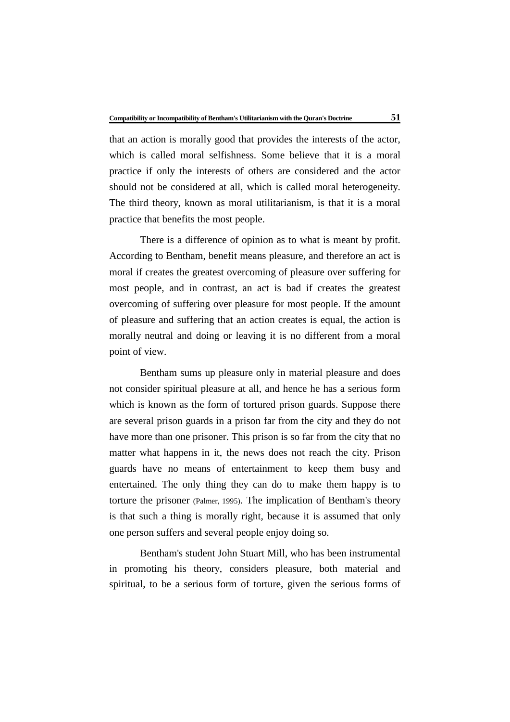that an action is morally good that provides the interests of the actor, which is called moral selfishness. Some believe that it is a moral practice if only the interests of others are considered and the actor should not be considered at all, which is called moral heterogeneity. The third theory, known as moral utilitarianism, is that it is a moral practice that benefits the most people.

There is a difference of opinion as to what is meant by profit. According to Bentham, benefit means pleasure, and therefore an act is moral if creates the greatest overcoming of pleasure over suffering for most people, and in contrast, an act is bad if creates the greatest overcoming of suffering over pleasure for most people. If the amount of pleasure and suffering that an action creates is equal, the action is morally neutral and doing or leaving it is no different from a moral point of view.

Bentham sums up pleasure only in material pleasure and does not consider spiritual pleasure at all, and hence he has a serious form which is known as the form of tortured prison guards. Suppose there are several prison guards in a prison far from the city and they do not have more than one prisoner. This prison is so far from the city that no matter what happens in it, the news does not reach the city. Prison guards have no means of entertainment to keep them busy and entertained. The only thing they can do to make them happy is to torture the prisoner (Palmer, 1995). The implication of Bentham's theory is that such a thing is morally right, because it is assumed that only one person suffers and several people enjoy doing so.

Bentham's student John Stuart Mill, who has been instrumental in promoting his theory, considers pleasure, both material and spiritual, to be a serious form of torture, given the serious forms of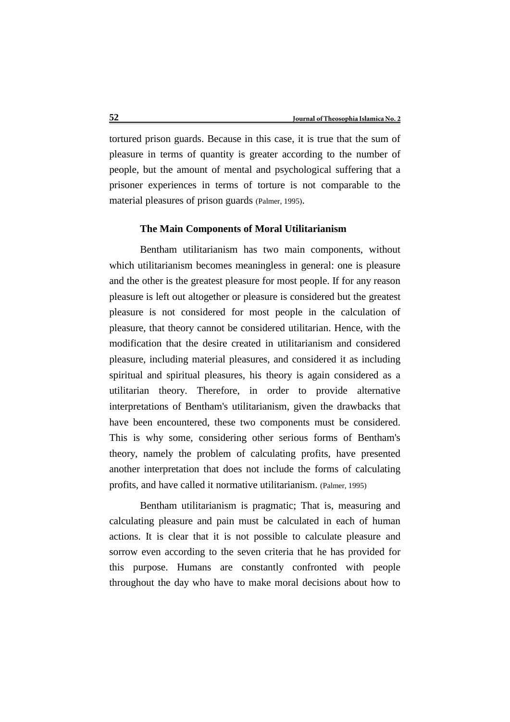tortured prison guards. Because in this case, it is true that the sum of pleasure in terms of quantity is greater according to the number of people, but the amount of mental and psychological suffering that a prisoner experiences in terms of torture is not comparable to the material pleasures of prison guards (Palmer, 1995).

#### **The Main Components of Moral Utilitarianism**

Bentham utilitarianism has two main components, without which utilitarianism becomes meaningless in general: one is pleasure and the other is the greatest pleasure for most people. If for any reason pleasure is left out altogether or pleasure is considered but the greatest pleasure is not considered for most people in the calculation of pleasure, that theory cannot be considered utilitarian. Hence, with the modification that the desire created in utilitarianism and considered pleasure, including material pleasures, and considered it as including spiritual and spiritual pleasures, his theory is again considered as a utilitarian theory. Therefore, in order to provide alternative interpretations of Bentham's utilitarianism, given the drawbacks that have been encountered, these two components must be considered. This is why some, considering other serious forms of Bentham's theory, namely the problem of calculating profits, have presented another interpretation that does not include the forms of calculating profits, and have called it normative utilitarianism. (Palmer, 1995)

Bentham utilitarianism is pragmatic; That is, measuring and calculating pleasure and pain must be calculated in each of human actions. It is clear that it is not possible to calculate pleasure and sorrow even according to the seven criteria that he has provided for this purpose. Humans are constantly confronted with people throughout the day who have to make moral decisions about how to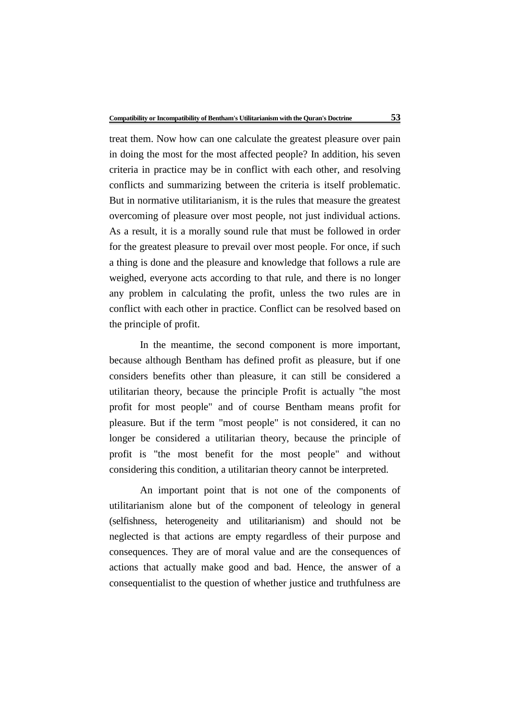treat them. Now how can one calculate the greatest pleasure over pain in doing the most for the most affected people? In addition, his seven criteria in practice may be in conflict with each other, and resolving conflicts and summarizing between the criteria is itself problematic. But in normative utilitarianism, it is the rules that measure the greatest overcoming of pleasure over most people, not just individual actions. As a result, it is a morally sound rule that must be followed in order for the greatest pleasure to prevail over most people. For once, if such a thing is done and the pleasure and knowledge that follows a rule are weighed, everyone acts according to that rule, and there is no longer any problem in calculating the profit, unless the two rules are in conflict with each other in practice. Conflict can be resolved based on the principle of profit.

In the meantime, the second component is more important, because although Bentham has defined profit as pleasure, but if one considers benefits other than pleasure, it can still be considered a utilitarian theory, because the principle Profit is actually "the most profit for most people" and of course Bentham means profit for pleasure. But if the term "most people" is not considered, it can no longer be considered a utilitarian theory, because the principle of profit is "the most benefit for the most people" and without considering this condition, a utilitarian theory cannot be interpreted.

An important point that is not one of the components of utilitarianism alone but of the component of teleology in general (selfishness, heterogeneity and utilitarianism) and should not be neglected is that actions are empty regardless of their purpose and consequences. They are of moral value and are the consequences of actions that actually make good and bad. Hence, the answer of a consequentialist to the question of whether justice and truthfulness are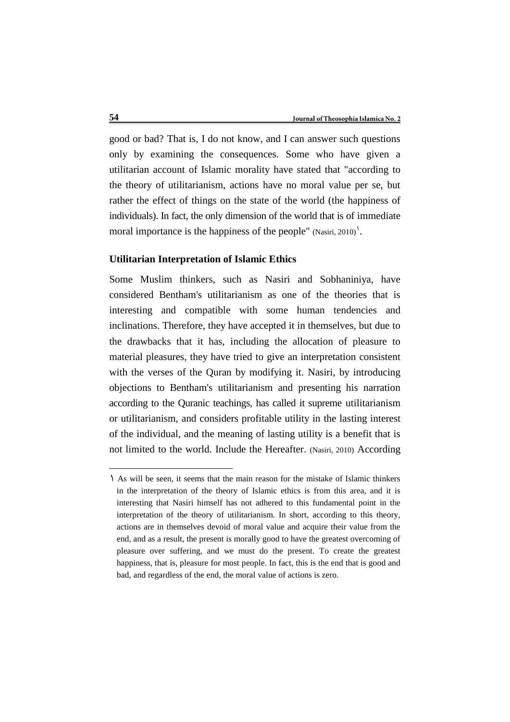good or bad? That is, I do not know, and I can answer such questions only by examining the consequences. Some who have given a utilitarian account of Islamic morality have stated that "according to the theory of utilitarianism, actions have no moral value per se, but rather the effect of things on the state of the world (the happiness of individuals). In fact, the only dimension of the world that is of immediate moral importance is the happiness of the people"  $(Nasiri, 2010)$ .

#### **Utilitarian Interpretation of Islamic Ethics**

Some Muslim thinkers, such as Nasiri and Sobhaniniya, have considered Bentham's utilitarianism as one of the theories that is interesting and compatible with some human tendencies and inclinations. Therefore, they have accepted it in themselves, but due to the drawbacks that it has, including the allocation of pleasure to material pleasures, they have tried to give an interpretation consistent with the verses of the Quran by modifying it. Nasiri, by introducing objections to Bentham's utilitarianism and presenting his narration according to the Quranic teachings, has called it supreme utilitarianism or utilitarianism, and considers profitable utility in the lasting interest of the individual, and the meaning of lasting utility is a benefit that is not limited to the world. Include the Hereafter. (Nasiri, 2010) According

<u>.</u>

<sup>1</sup> As will be seen, it seems that the main reason for the mistake of Islamic thinkers in the interpretation of the theory of Islamic ethics is from this area, and it is interesting that Nasiri himself has not adhered to this fundamental point in the interpretation of the theory of utilitarianism. In short, according to this theory, actions are in themselves devoid of moral value and acquire their value from the end, and as a result, the present is morally good to have the greatest overcoming of pleasure over suffering, and we must do the present. To create the greatest happiness, that is, pleasure for most people. In fact, this is the end that is good and bad, and regardless of the end, the moral value of actions is zero.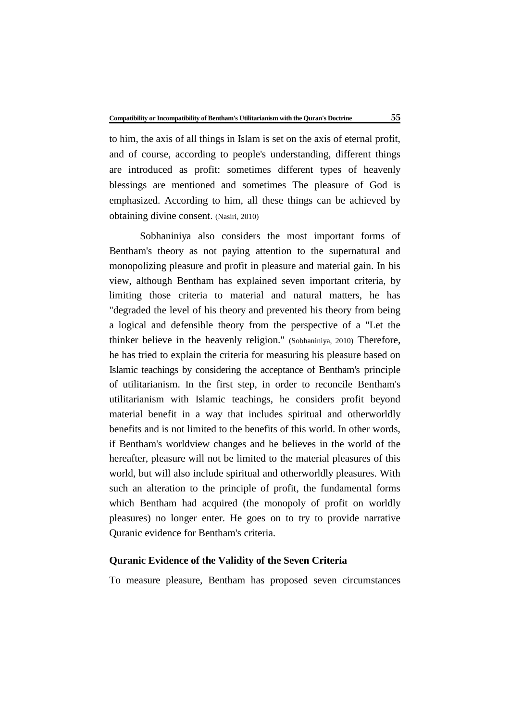to him, the axis of all things in Islam is set on the axis of eternal profit, and of course, according to people's understanding, different things are introduced as profit: sometimes different types of heavenly blessings are mentioned and sometimes The pleasure of God is emphasized. According to him, all these things can be achieved by obtaining divine consent. (Nasiri, 2010)

Sobhaniniya also considers the most important forms of Bentham's theory as not paying attention to the supernatural and monopolizing pleasure and profit in pleasure and material gain. In his view, although Bentham has explained seven important criteria, by limiting those criteria to material and natural matters, he has "degraded the level of his theory and prevented his theory from being a logical and defensible theory from the perspective of a "Let the thinker believe in the heavenly religion." (Sobhaniniya, 2010) Therefore, he has tried to explain the criteria for measuring his pleasure based on Islamic teachings by considering the acceptance of Bentham's principle of utilitarianism. In the first step, in order to reconcile Bentham's utilitarianism with Islamic teachings, he considers profit beyond material benefit in a way that includes spiritual and otherworldly benefits and is not limited to the benefits of this world. In other words, if Bentham's worldview changes and he believes in the world of the hereafter, pleasure will not be limited to the material pleasures of this world, but will also include spiritual and otherworldly pleasures. With such an alteration to the principle of profit, the fundamental forms which Bentham had acquired (the monopoly of profit on worldly pleasures) no longer enter. He goes on to try to provide narrative Quranic evidence for Bentham's criteria.

# **Quranic Evidence of the Validity of the Seven Criteria**

To measure pleasure, Bentham has proposed seven circumstances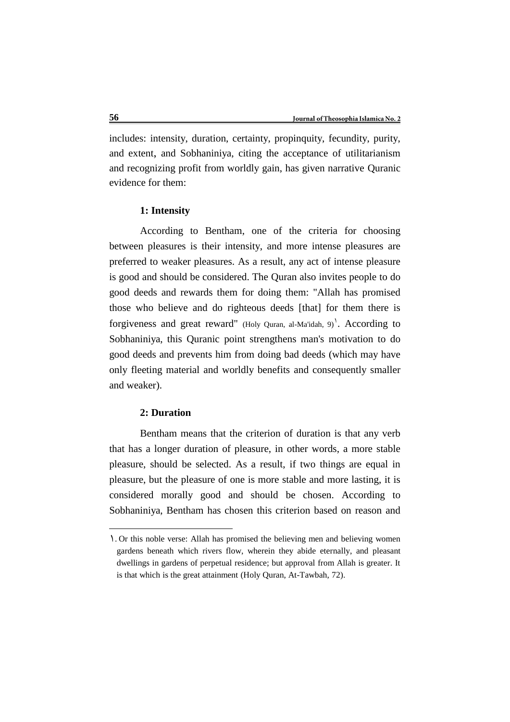includes: intensity, duration, certainty, propinquity, fecundity, purity, and extent, and Sobhaniniya, citing the acceptance of utilitarianism and recognizing profit from worldly gain, has given narrative Quranic evidence for them:

# **1: Intensity**

According to Bentham, one of the criteria for choosing between pleasures is their intensity, and more intense pleasures are preferred to weaker pleasures. As a result, any act of intense pleasure is good and should be considered. The Quran also invites people to do good deeds and rewards them for doing them: "Allah has promised those who believe and do righteous deeds [that] for them there is forgiveness and great reward" (Holy Quran, al-Ma'idah,  $9$ ). According to Sobhaniniya, this Quranic point strengthens man's motivation to do good deeds and prevents him from doing bad deeds (which may have only fleeting material and worldly benefits and consequently smaller and weaker).

#### **2: Duration**

<u>.</u>

Bentham means that the criterion of duration is that any verb that has a longer duration of pleasure, in other words, a more stable pleasure, should be selected. As a result, if two things are equal in pleasure, but the pleasure of one is more stable and more lasting, it is considered morally good and should be chosen. According to Sobhaniniya, Bentham has chosen this criterion based on reason and

<sup>1</sup>. Or this noble verse: Allah has promised the believing men and believing women gardens beneath which rivers flow, wherein they abide eternally, and pleasant dwellings in gardens of perpetual residence; but approval from Allah is greater. It is that which is the great attainment (Holy Quran, At-Tawbah, 72).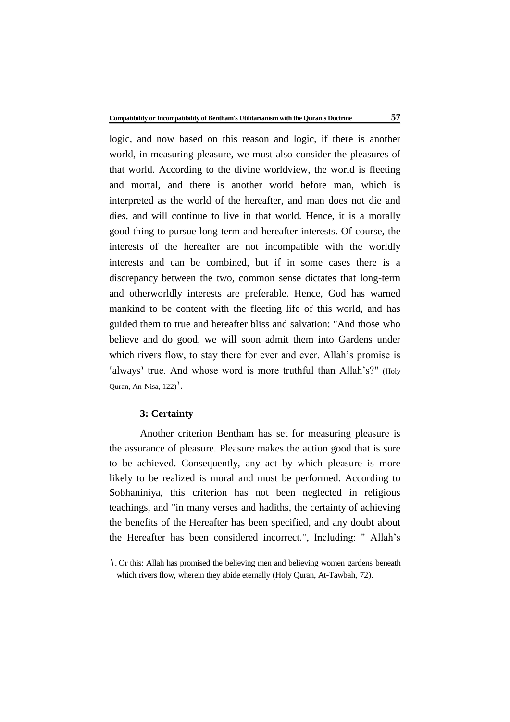logic, and now based on this reason and logic, if there is another world, in measuring pleasure, we must also consider the pleasures of that world. According to the divine worldview, the world is fleeting and mortal, and there is another world before man, which is interpreted as the world of the hereafter, and man does not die and dies, and will continue to live in that world. Hence, it is a morally good thing to pursue long-term and hereafter interests. Of course, the interests of the hereafter are not incompatible with the worldly interests and can be combined, but if in some cases there is a discrepancy between the two, common sense dictates that long-term and otherworldly interests are preferable. Hence, God has warned mankind to be content with the fleeting life of this world, and has guided them to true and hereafter bliss and salvation: "And those who believe and do good, we will soon admit them into Gardens under which rivers flow, to stay there for ever and ever. Allah's promise is 'always' true. And whose word is more truthful than Allah's?" (Holy Quran, An-Nisa,  $122)$ <sup>1</sup>.

#### **3: Certainty**

1

Another criterion Bentham has set for measuring pleasure is the assurance of pleasure. Pleasure makes the action good that is sure to be achieved. Consequently, any act by which pleasure is more likely to be realized is moral and must be performed. According to Sobhaniniya, this criterion has not been neglected in religious teachings, and "in many verses and hadiths, the certainty of achieving the benefits of the Hereafter has been specified, and any doubt about the Hereafter has been considered incorrect.", Including: " Allah's

<sup>1</sup>. Or this: Allah has promised the believing men and believing women gardens beneath which rivers flow, wherein they abide eternally (Holy Quran, At-Tawbah, 72).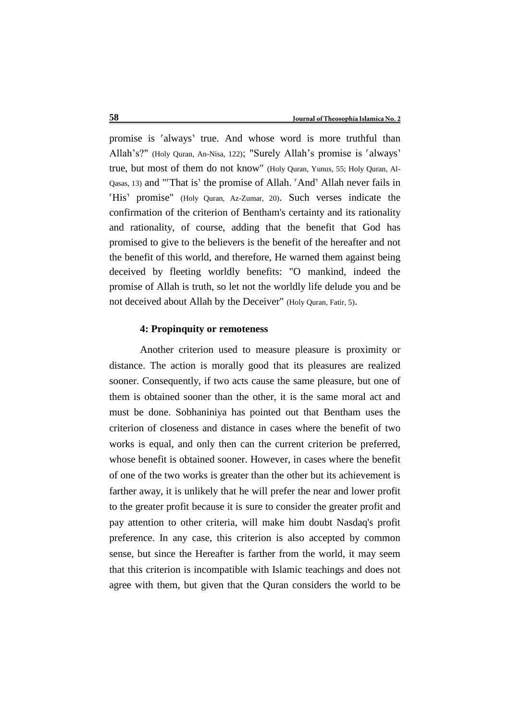promise is 'always' true. And whose word is more truthful than Allah's?" (Holy Quran, An-Nisa, 122); "Surely Allah's promise is 'always' true, but most of them do not know" (Holy Quran, Yunus, 55; Holy Quran, Al-Qasas, 13) and "˹That is˺ the promise of Allah. ˹And˺ Allah never fails in 'His' promise" (Holy Quran, Az-Zumar, 20). Such verses indicate the confirmation of the criterion of Bentham's certainty and its rationality and rationality, of course, adding that the benefit that God has promised to give to the believers is the benefit of the hereafter and not the benefit of this world, and therefore, He warned them against being deceived by fleeting worldly benefits: "O mankind, indeed the promise of Allah is truth, so let not the worldly life delude you and be not deceived about Allah by the Deceiver" (Holy Quran, Fatir, 5).

# **4: Propinquity or remoteness**

Another criterion used to measure pleasure is proximity or distance. The action is morally good that its pleasures are realized sooner. Consequently, if two acts cause the same pleasure, but one of them is obtained sooner than the other, it is the same moral act and must be done. Sobhaniniya has pointed out that Bentham uses the criterion of closeness and distance in cases where the benefit of two works is equal, and only then can the current criterion be preferred, whose benefit is obtained sooner. However, in cases where the benefit of one of the two works is greater than the other but its achievement is farther away, it is unlikely that he will prefer the near and lower profit to the greater profit because it is sure to consider the greater profit and pay attention to other criteria, will make him doubt Nasdaq's profit preference. In any case, this criterion is also accepted by common sense, but since the Hereafter is farther from the world, it may seem that this criterion is incompatible with Islamic teachings and does not agree with them, but given that the Quran considers the world to be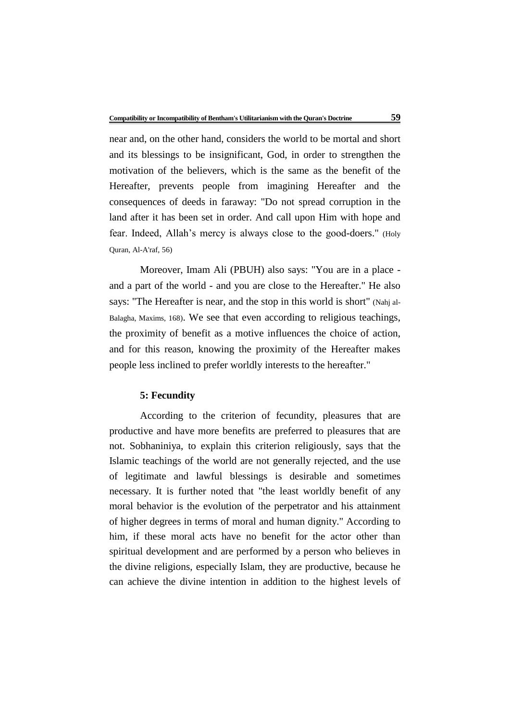near and, on the other hand, considers the world to be mortal and short and its blessings to be insignificant, God, in order to strengthen the motivation of the believers, which is the same as the benefit of the Hereafter, prevents people from imagining Hereafter and the consequences of deeds in faraway: "Do not spread corruption in the land after it has been set in order. And call upon Him with hope and fear. Indeed, Allah's mercy is always close to the good-doers." (Holy Quran, Al-A'raf, 56)

Moreover, Imam Ali (PBUH) also says: "You are in a place and a part of the world - and you are close to the Hereafter." He also says: "The Hereafter is near, and the stop in this world is short" (Nahj al-Balagha, Maxims, 168). We see that even according to religious teachings, the proximity of benefit as a motive influences the choice of action, and for this reason, knowing the proximity of the Hereafter makes people less inclined to prefer worldly interests to the hereafter."

#### **5: Fecundity**

According to the criterion of fecundity, pleasures that are productive and have more benefits are preferred to pleasures that are not. Sobhaniniya, to explain this criterion religiously, says that the Islamic teachings of the world are not generally rejected, and the use of legitimate and lawful blessings is desirable and sometimes necessary. It is further noted that "the least worldly benefit of any moral behavior is the evolution of the perpetrator and his attainment of higher degrees in terms of moral and human dignity." According to him, if these moral acts have no benefit for the actor other than spiritual development and are performed by a person who believes in the divine religions, especially Islam, they are productive, because he can achieve the divine intention in addition to the highest levels of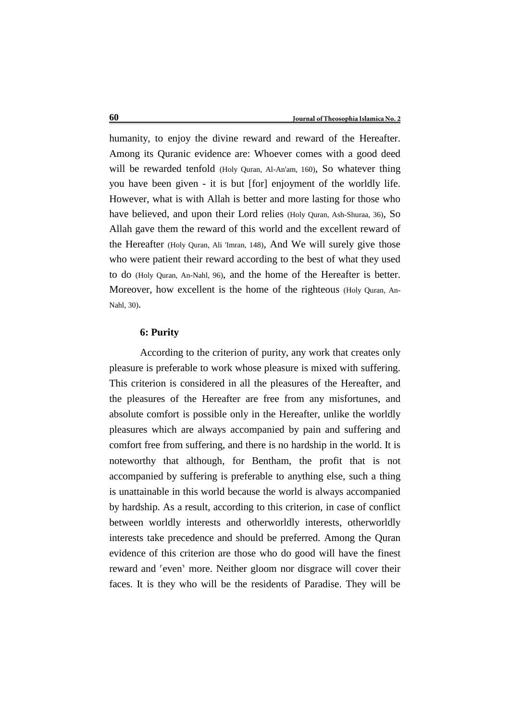humanity, to enjoy the divine reward and reward of the Hereafter. Among its Quranic evidence are: Whoever comes with a good deed will be rewarded tenfold (Holy Quran, Al-An'am, 160), So whatever thing you have been given - it is but [for] enjoyment of the worldly life. However, what is with Allah is better and more lasting for those who have believed, and upon their Lord relies (Holy Quran, Ash-Shuraa, 36), So Allah gave them the reward of this world and the excellent reward of the Hereafter (Holy Quran, Ali 'Imran, 148), And We will surely give those who were patient their reward according to the best of what they used to do (Holy Quran, An-Nahl, 96), and the home of the Hereafter is better. Moreover, how excellent is the home of the righteous (Holy Quran, An-Nahl, 30).

### **6: Purity**

According to the criterion of purity, any work that creates only pleasure is preferable to work whose pleasure is mixed with suffering. This criterion is considered in all the pleasures of the Hereafter, and the pleasures of the Hereafter are free from any misfortunes, and absolute comfort is possible only in the Hereafter, unlike the worldly pleasures which are always accompanied by pain and suffering and comfort free from suffering, and there is no hardship in the world. It is noteworthy that although, for Bentham, the profit that is not accompanied by suffering is preferable to anything else, such a thing is unattainable in this world because the world is always accompanied by hardship. As a result, according to this criterion, in case of conflict between worldly interests and otherworldly interests, otherworldly interests take precedence and should be preferred. Among the Quran evidence of this criterion are those who do good will have the finest reward and 'even' more. Neither gloom nor disgrace will cover their faces. It is they who will be the residents of Paradise. They will be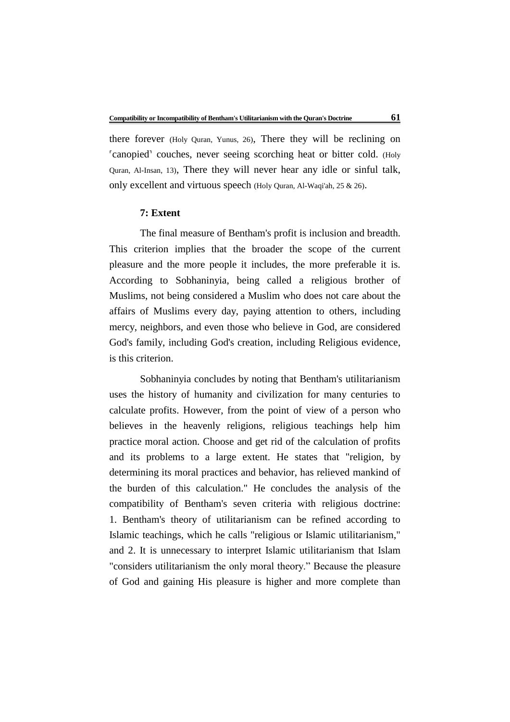there forever (Holy Quran, Yunus, 26), There they will be reclining on ˹canopied˺ couches, never seeing scorching heat or bitter cold. (Holy Quran, Al-Insan, 13), There they will never hear any idle or sinful talk, only excellent and virtuous speech (Holy Quran, Al-Waqi'ah, 25 & 26).

#### **7: Extent**

The final measure of Bentham's profit is inclusion and breadth. This criterion implies that the broader the scope of the current pleasure and the more people it includes, the more preferable it is. According to Sobhaninyia, being called a religious brother of Muslims, not being considered a Muslim who does not care about the affairs of Muslims every day, paying attention to others, including mercy, neighbors, and even those who believe in God, are considered God's family, including God's creation, including Religious evidence, is this criterion.

Sobhaninyia concludes by noting that Bentham's utilitarianism uses the history of humanity and civilization for many centuries to calculate profits. However, from the point of view of a person who believes in the heavenly religions, religious teachings help him practice moral action. Choose and get rid of the calculation of profits and its problems to a large extent. He states that "religion, by determining its moral practices and behavior, has relieved mankind of the burden of this calculation." He concludes the analysis of the compatibility of Bentham's seven criteria with religious doctrine: 1. Bentham's theory of utilitarianism can be refined according to Islamic teachings, which he calls "religious or Islamic utilitarianism," and 2. It is unnecessary to interpret Islamic utilitarianism that Islam "considers utilitarianism the only moral theory." Because the pleasure of God and gaining His pleasure is higher and more complete than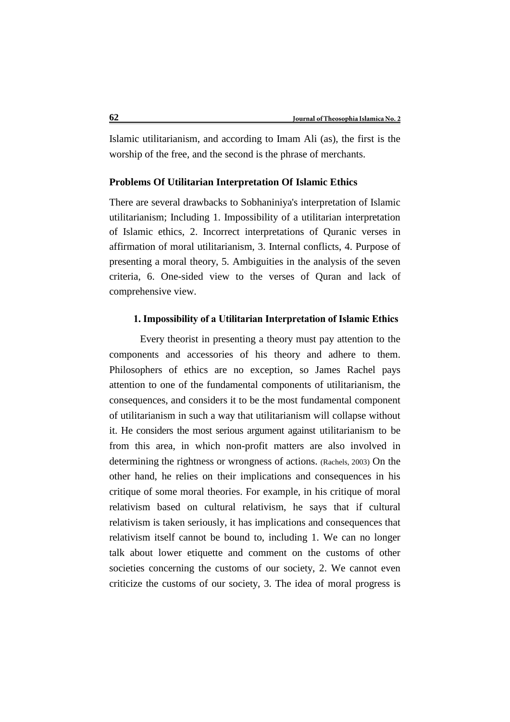Islamic utilitarianism, and according to Imam Ali (as), the first is the worship of the free, and the second is the phrase of merchants.

# **Problems Of Utilitarian Interpretation Of Islamic Ethics**

There are several drawbacks to Sobhaniniya's interpretation of Islamic utilitarianism; Including 1. Impossibility of a utilitarian interpretation of Islamic ethics, 2. Incorrect interpretations of Quranic verses in affirmation of moral utilitarianism, 3. Internal conflicts, 4. Purpose of presenting a moral theory, 5. Ambiguities in the analysis of the seven criteria, 6. One-sided view to the verses of Quran and lack of comprehensive view.

## **1. Impossibility of a Utilitarian Interpretation of Islamic Ethics**

Every theorist in presenting a theory must pay attention to the components and accessories of his theory and adhere to them. Philosophers of ethics are no exception, so James Rachel pays attention to one of the fundamental components of utilitarianism, the consequences, and considers it to be the most fundamental component of utilitarianism in such a way that utilitarianism will collapse without it. He considers the most serious argument against utilitarianism to be from this area, in which non-profit matters are also involved in determining the rightness or wrongness of actions. (Rachels, 2003) On the other hand, he relies on their implications and consequences in his critique of some moral theories. For example, in his critique of moral relativism based on cultural relativism, he says that if cultural relativism is taken seriously, it has implications and consequences that relativism itself cannot be bound to, including 1. We can no longer talk about lower etiquette and comment on the customs of other societies concerning the customs of our society, 2. We cannot even criticize the customs of our society, 3. The idea of moral progress is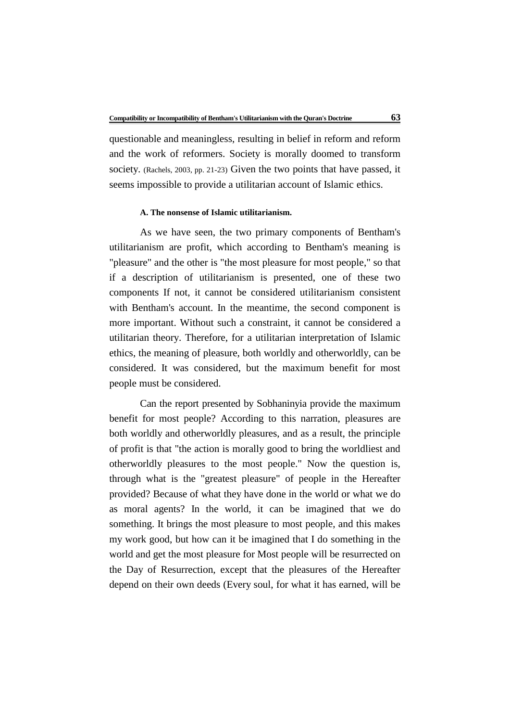questionable and meaningless, resulting in belief in reform and reform and the work of reformers. Society is morally doomed to transform society. (Rachels, 2003, pp. 21-23) Given the two points that have passed, it seems impossible to provide a utilitarian account of Islamic ethics.

### **A. The nonsense of Islamic utilitarianism.**

As we have seen, the two primary components of Bentham's utilitarianism are profit, which according to Bentham's meaning is "pleasure" and the other is "the most pleasure for most people," so that if a description of utilitarianism is presented, one of these two components If not, it cannot be considered utilitarianism consistent with Bentham's account. In the meantime, the second component is more important. Without such a constraint, it cannot be considered a utilitarian theory. Therefore, for a utilitarian interpretation of Islamic ethics, the meaning of pleasure, both worldly and otherworldly, can be considered. It was considered, but the maximum benefit for most people must be considered.

Can the report presented by Sobhaninyia provide the maximum benefit for most people? According to this narration, pleasures are both worldly and otherworldly pleasures, and as a result, the principle of profit is that "the action is morally good to bring the worldliest and otherworldly pleasures to the most people." Now the question is, through what is the "greatest pleasure" of people in the Hereafter provided? Because of what they have done in the world or what we do as moral agents? In the world, it can be imagined that we do something. It brings the most pleasure to most people, and this makes my work good, but how can it be imagined that I do something in the world and get the most pleasure for Most people will be resurrected on the Day of Resurrection, except that the pleasures of the Hereafter depend on their own deeds (Every soul, for what it has earned, will be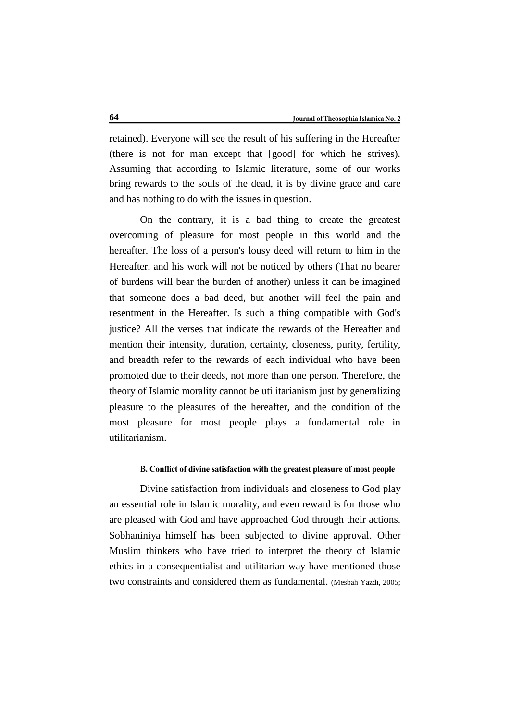retained). Everyone will see the result of his suffering in the Hereafter (there is not for man except that [good] for which he strives). Assuming that according to Islamic literature, some of our works bring rewards to the souls of the dead, it is by divine grace and care and has nothing to do with the issues in question.

On the contrary, it is a bad thing to create the greatest overcoming of pleasure for most people in this world and the hereafter. The loss of a person's lousy deed will return to him in the Hereafter, and his work will not be noticed by others (That no bearer of burdens will bear the burden of another) unless it can be imagined that someone does a bad deed, but another will feel the pain and resentment in the Hereafter. Is such a thing compatible with God's justice? All the verses that indicate the rewards of the Hereafter and mention their intensity, duration, certainty, closeness, purity, fertility, and breadth refer to the rewards of each individual who have been promoted due to their deeds, not more than one person. Therefore, the theory of Islamic morality cannot be utilitarianism just by generalizing pleasure to the pleasures of the hereafter, and the condition of the most pleasure for most people plays a fundamental role in utilitarianism.

#### **B. Conflict of divine satisfaction with the greatest pleasure of most people**

Divine satisfaction from individuals and closeness to God play an essential role in Islamic morality, and even reward is for those who are pleased with God and have approached God through their actions. Sobhaniniya himself has been subjected to divine approval. Other Muslim thinkers who have tried to interpret the theory of Islamic ethics in a consequentialist and utilitarian way have mentioned those two constraints and considered them as fundamental. (Mesbah Yazdi, 2005;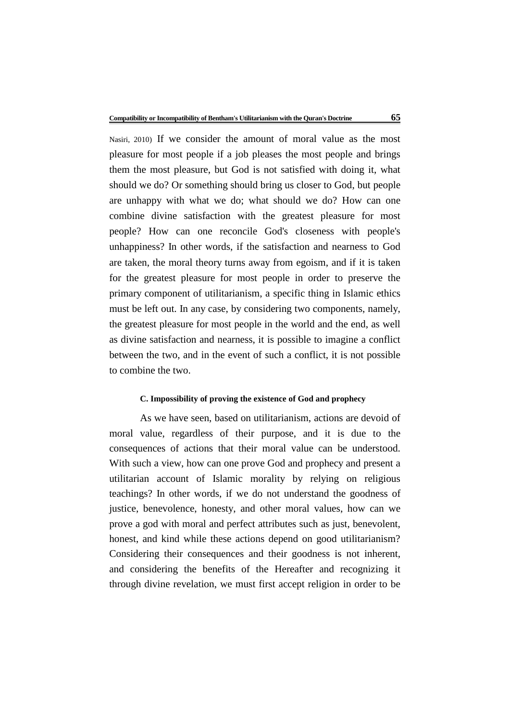Nasiri, 2010) If we consider the amount of moral value as the most pleasure for most people if a job pleases the most people and brings them the most pleasure, but God is not satisfied with doing it, what should we do? Or something should bring us closer to God, but people are unhappy with what we do; what should we do? How can one combine divine satisfaction with the greatest pleasure for most people? How can one reconcile God's closeness with people's unhappiness? In other words, if the satisfaction and nearness to God are taken, the moral theory turns away from egoism, and if it is taken for the greatest pleasure for most people in order to preserve the primary component of utilitarianism, a specific thing in Islamic ethics must be left out. In any case, by considering two components, namely, the greatest pleasure for most people in the world and the end, as well as divine satisfaction and nearness, it is possible to imagine a conflict between the two, and in the event of such a conflict, it is not possible to combine the two.

# **C. Impossibility of proving the existence of God and prophecy**

As we have seen, based on utilitarianism, actions are devoid of moral value, regardless of their purpose, and it is due to the consequences of actions that their moral value can be understood. With such a view, how can one prove God and prophecy and present a utilitarian account of Islamic morality by relying on religious teachings? In other words, if we do not understand the goodness of justice, benevolence, honesty, and other moral values, how can we prove a god with moral and perfect attributes such as just, benevolent, honest, and kind while these actions depend on good utilitarianism? Considering their consequences and their goodness is not inherent, and considering the benefits of the Hereafter and recognizing it through divine revelation, we must first accept religion in order to be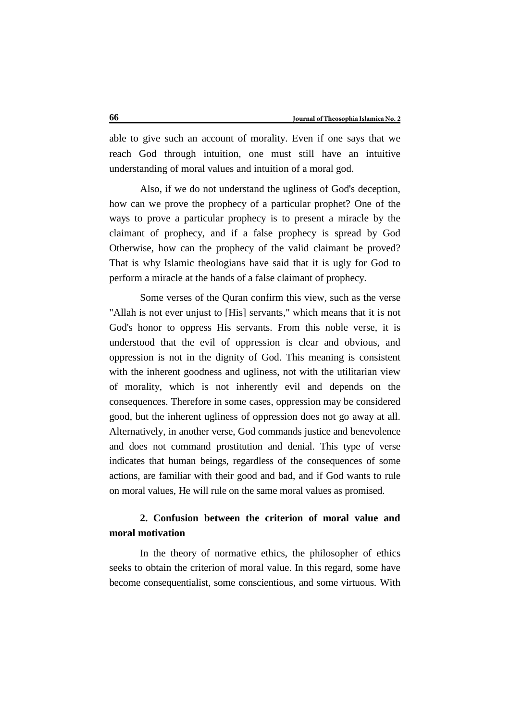able to give such an account of morality. Even if one says that we reach God through intuition, one must still have an intuitive understanding of moral values and intuition of a moral god.

Also, if we do not understand the ugliness of God's deception, how can we prove the prophecy of a particular prophet? One of the ways to prove a particular prophecy is to present a miracle by the claimant of prophecy, and if a false prophecy is spread by God Otherwise, how can the prophecy of the valid claimant be proved? That is why Islamic theologians have said that it is ugly for God to perform a miracle at the hands of a false claimant of prophecy.

Some verses of the Quran confirm this view, such as the verse "Allah is not ever unjust to [His] servants," which means that it is not God's honor to oppress His servants. From this noble verse, it is understood that the evil of oppression is clear and obvious, and oppression is not in the dignity of God. This meaning is consistent with the inherent goodness and ugliness, not with the utilitarian view of morality, which is not inherently evil and depends on the consequences. Therefore in some cases, oppression may be considered good, but the inherent ugliness of oppression does not go away at all. Alternatively, in another verse, God commands justice and benevolence and does not command prostitution and denial. This type of verse indicates that human beings, regardless of the consequences of some actions, are familiar with their good and bad, and if God wants to rule on moral values, He will rule on the same moral values as promised.

# **2. Confusion between the criterion of moral value and moral motivation**

In the theory of normative ethics, the philosopher of ethics seeks to obtain the criterion of moral value. In this regard, some have become consequentialist, some conscientious, and some virtuous. With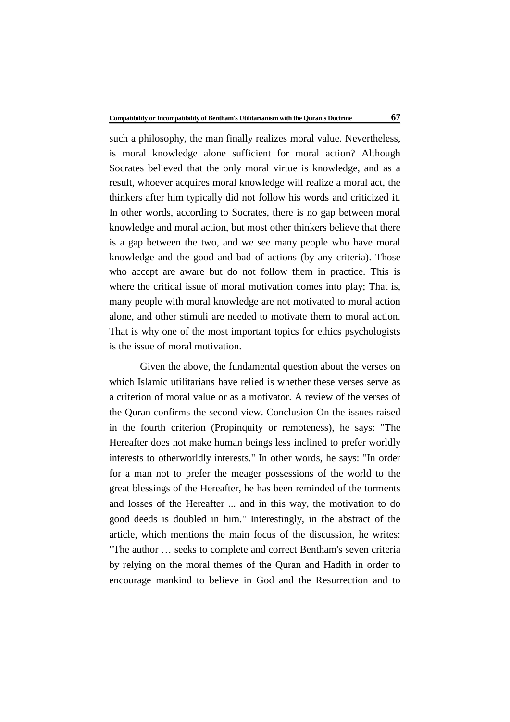such a philosophy, the man finally realizes moral value. Nevertheless, is moral knowledge alone sufficient for moral action? Although Socrates believed that the only moral virtue is knowledge, and as a result, whoever acquires moral knowledge will realize a moral act, the thinkers after him typically did not follow his words and criticized it. In other words, according to Socrates, there is no gap between moral knowledge and moral action, but most other thinkers believe that there is a gap between the two, and we see many people who have moral knowledge and the good and bad of actions (by any criteria). Those who accept are aware but do not follow them in practice. This is where the critical issue of moral motivation comes into play; That is, many people with moral knowledge are not motivated to moral action alone, and other stimuli are needed to motivate them to moral action. That is why one of the most important topics for ethics psychologists is the issue of moral motivation.

Given the above, the fundamental question about the verses on which Islamic utilitarians have relied is whether these verses serve as a criterion of moral value or as a motivator. A review of the verses of the Quran confirms the second view. Conclusion On the issues raised in the fourth criterion (Propinquity or remoteness), he says: "The Hereafter does not make human beings less inclined to prefer worldly interests to otherworldly interests." In other words, he says: "In order for a man not to prefer the meager possessions of the world to the great blessings of the Hereafter, he has been reminded of the torments and losses of the Hereafter ... and in this way, the motivation to do good deeds is doubled in him." Interestingly, in the abstract of the article, which mentions the main focus of the discussion, he writes: "The author … seeks to complete and correct Bentham's seven criteria by relying on the moral themes of the Quran and Hadith in order to encourage mankind to believe in God and the Resurrection and to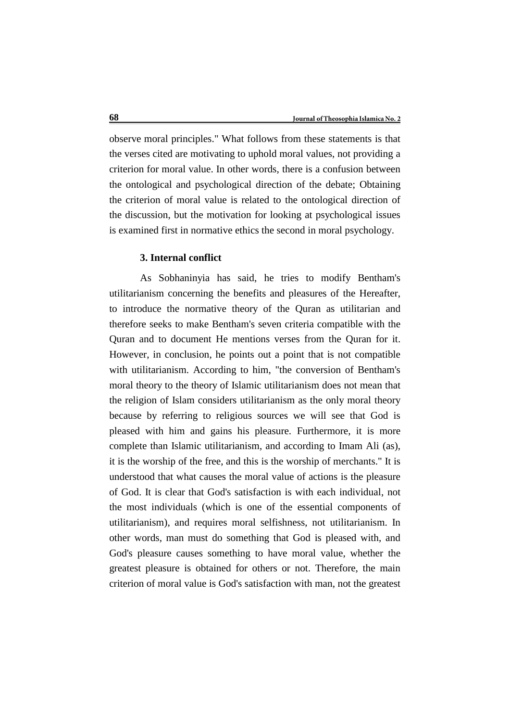observe moral principles." What follows from these statements is that the verses cited are motivating to uphold moral values, not providing a criterion for moral value. In other words, there is a confusion between the ontological and psychological direction of the debate; Obtaining the criterion of moral value is related to the ontological direction of the discussion, but the motivation for looking at psychological issues is examined first in normative ethics the second in moral psychology.

# **3. Internal conflict**

As Sobhaninyia has said, he tries to modify Bentham's utilitarianism concerning the benefits and pleasures of the Hereafter, to introduce the normative theory of the Quran as utilitarian and therefore seeks to make Bentham's seven criteria compatible with the Quran and to document He mentions verses from the Quran for it. However, in conclusion, he points out a point that is not compatible with utilitarianism. According to him, "the conversion of Bentham's moral theory to the theory of Islamic utilitarianism does not mean that the religion of Islam considers utilitarianism as the only moral theory because by referring to religious sources we will see that God is pleased with him and gains his pleasure. Furthermore, it is more complete than Islamic utilitarianism, and according to Imam Ali (as), it is the worship of the free, and this is the worship of merchants." It is understood that what causes the moral value of actions is the pleasure of God. It is clear that God's satisfaction is with each individual, not the most individuals (which is one of the essential components of utilitarianism), and requires moral selfishness, not utilitarianism. In other words, man must do something that God is pleased with, and God's pleasure causes something to have moral value, whether the greatest pleasure is obtained for others or not. Therefore, the main criterion of moral value is God's satisfaction with man, not the greatest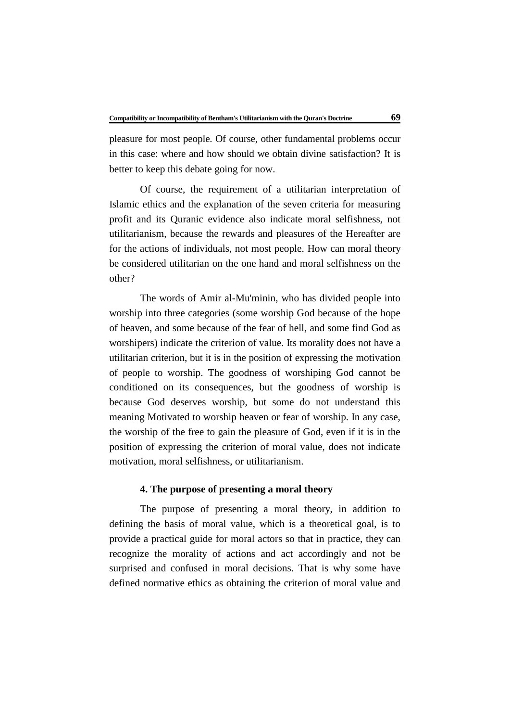pleasure for most people. Of course, other fundamental problems occur in this case: where and how should we obtain divine satisfaction? It is better to keep this debate going for now.

Of course, the requirement of a utilitarian interpretation of Islamic ethics and the explanation of the seven criteria for measuring profit and its Quranic evidence also indicate moral selfishness, not utilitarianism, because the rewards and pleasures of the Hereafter are for the actions of individuals, not most people. How can moral theory be considered utilitarian on the one hand and moral selfishness on the other?

The words of Amir al-Mu'minin, who has divided people into worship into three categories (some worship God because of the hope of heaven, and some because of the fear of hell, and some find God as worshipers) indicate the criterion of value. Its morality does not have a utilitarian criterion, but it is in the position of expressing the motivation of people to worship. The goodness of worshiping God cannot be conditioned on its consequences, but the goodness of worship is because God deserves worship, but some do not understand this meaning Motivated to worship heaven or fear of worship. In any case, the worship of the free to gain the pleasure of God, even if it is in the position of expressing the criterion of moral value, does not indicate motivation, moral selfishness, or utilitarianism.

# **4. The purpose of presenting a moral theory**

The purpose of presenting a moral theory, in addition to defining the basis of moral value, which is a theoretical goal, is to provide a practical guide for moral actors so that in practice, they can recognize the morality of actions and act accordingly and not be surprised and confused in moral decisions. That is why some have defined normative ethics as obtaining the criterion of moral value and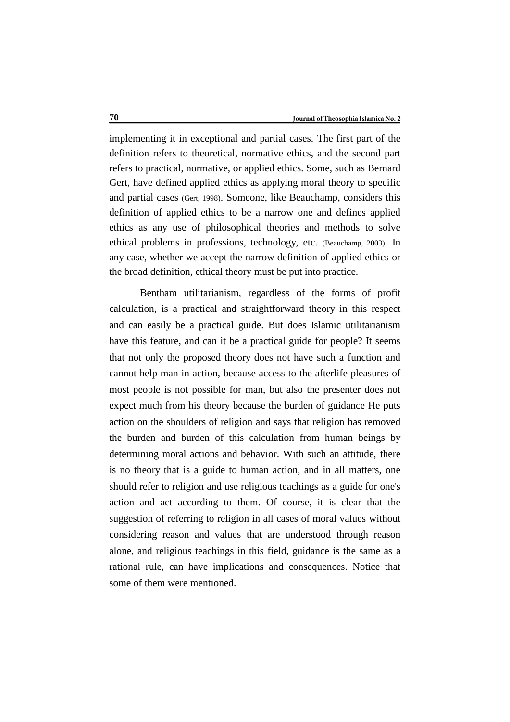implementing it in exceptional and partial cases. The first part of the definition refers to theoretical, normative ethics, and the second part refers to practical, normative, or applied ethics. Some, such as Bernard Gert, have defined applied ethics as applying moral theory to specific and partial cases (Gert, 1998). Someone, like Beauchamp, considers this definition of applied ethics to be a narrow one and defines applied ethics as any use of philosophical theories and methods to solve ethical problems in professions, technology, etc. (Beauchamp, 2003). In any case, whether we accept the narrow definition of applied ethics or the broad definition, ethical theory must be put into practice.

Bentham utilitarianism, regardless of the forms of profit calculation, is a practical and straightforward theory in this respect and can easily be a practical guide. But does Islamic utilitarianism have this feature, and can it be a practical guide for people? It seems that not only the proposed theory does not have such a function and cannot help man in action, because access to the afterlife pleasures of most people is not possible for man, but also the presenter does not expect much from his theory because the burden of guidance He puts action on the shoulders of religion and says that religion has removed the burden and burden of this calculation from human beings by determining moral actions and behavior. With such an attitude, there is no theory that is a guide to human action, and in all matters, one should refer to religion and use religious teachings as a guide for one's action and act according to them. Of course, it is clear that the suggestion of referring to religion in all cases of moral values without considering reason and values that are understood through reason alone, and religious teachings in this field, guidance is the same as a rational rule, can have implications and consequences. Notice that some of them were mentioned.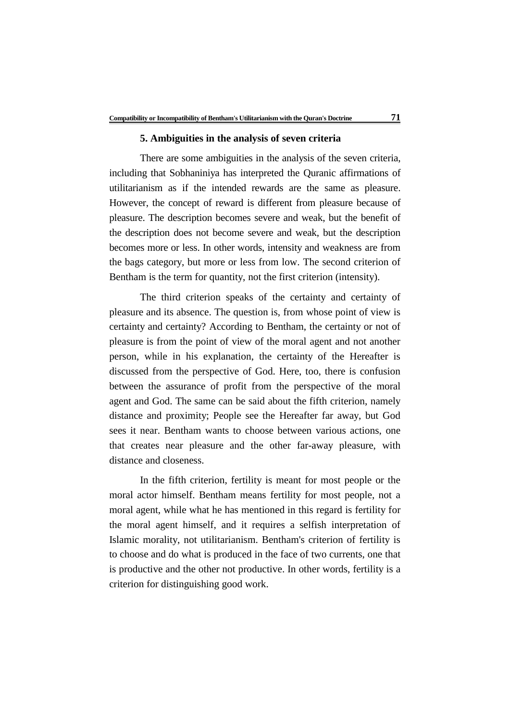#### **5. Ambiguities in the analysis of seven criteria**

There are some ambiguities in the analysis of the seven criteria, including that Sobhaniniya has interpreted the Quranic affirmations of utilitarianism as if the intended rewards are the same as pleasure. However, the concept of reward is different from pleasure because of pleasure. The description becomes severe and weak, but the benefit of the description does not become severe and weak, but the description becomes more or less. In other words, intensity and weakness are from the bags category, but more or less from low. The second criterion of Bentham is the term for quantity, not the first criterion (intensity).

The third criterion speaks of the certainty and certainty of pleasure and its absence. The question is, from whose point of view is certainty and certainty? According to Bentham, the certainty or not of pleasure is from the point of view of the moral agent and not another person, while in his explanation, the certainty of the Hereafter is discussed from the perspective of God. Here, too, there is confusion between the assurance of profit from the perspective of the moral agent and God. The same can be said about the fifth criterion, namely distance and proximity; People see the Hereafter far away, but God sees it near. Bentham wants to choose between various actions, one that creates near pleasure and the other far-away pleasure, with distance and closeness.

In the fifth criterion, fertility is meant for most people or the moral actor himself. Bentham means fertility for most people, not a moral agent, while what he has mentioned in this regard is fertility for the moral agent himself, and it requires a selfish interpretation of Islamic morality, not utilitarianism. Bentham's criterion of fertility is to choose and do what is produced in the face of two currents, one that is productive and the other not productive. In other words, fertility is a criterion for distinguishing good work.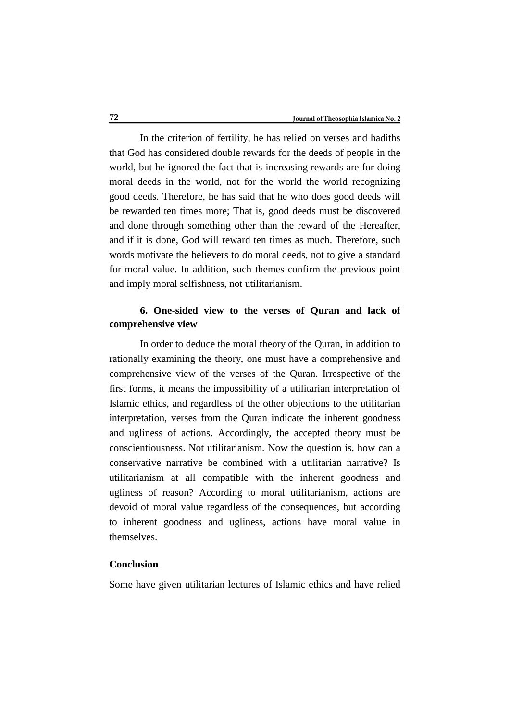In the criterion of fertility, he has relied on verses and hadiths that God has considered double rewards for the deeds of people in the world, but he ignored the fact that is increasing rewards are for doing moral deeds in the world, not for the world the world recognizing good deeds. Therefore, he has said that he who does good deeds will be rewarded ten times more; That is, good deeds must be discovered and done through something other than the reward of the Hereafter, and if it is done, God will reward ten times as much. Therefore, such words motivate the believers to do moral deeds, not to give a standard for moral value. In addition, such themes confirm the previous point and imply moral selfishness, not utilitarianism.

# **6. One-sided view to the verses of Quran and lack of comprehensive view**

In order to deduce the moral theory of the Quran, in addition to rationally examining the theory, one must have a comprehensive and comprehensive view of the verses of the Quran. Irrespective of the first forms, it means the impossibility of a utilitarian interpretation of Islamic ethics, and regardless of the other objections to the utilitarian interpretation, verses from the Quran indicate the inherent goodness and ugliness of actions. Accordingly, the accepted theory must be conscientiousness. Not utilitarianism. Now the question is, how can a conservative narrative be combined with a utilitarian narrative? Is utilitarianism at all compatible with the inherent goodness and ugliness of reason? According to moral utilitarianism, actions are devoid of moral value regardless of the consequences, but according to inherent goodness and ugliness, actions have moral value in themselves.

# **Conclusion**

Some have given utilitarian lectures of Islamic ethics and have relied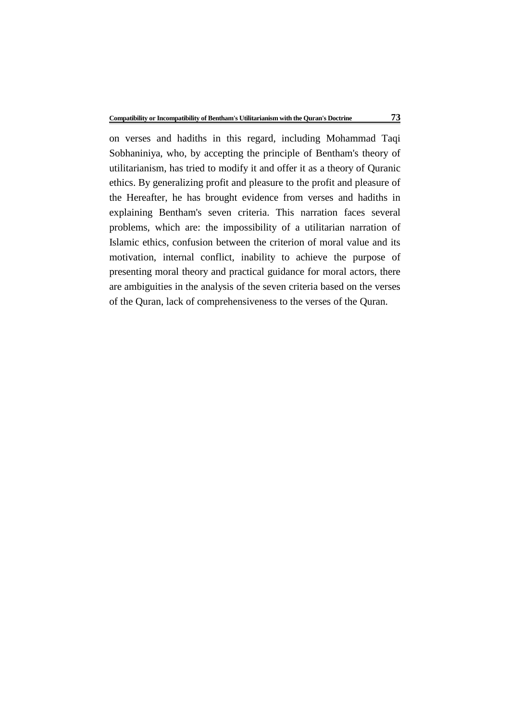on verses and hadiths in this regard, including Mohammad Taqi Sobhaniniya, who, by accepting the principle of Bentham's theory of utilitarianism, has tried to modify it and offer it as a theory of Quranic ethics. By generalizing profit and pleasure to the profit and pleasure of the Hereafter, he has brought evidence from verses and hadiths in explaining Bentham's seven criteria. This narration faces several problems, which are: the impossibility of a utilitarian narration of Islamic ethics, confusion between the criterion of moral value and its motivation, internal conflict, inability to achieve the purpose of presenting moral theory and practical guidance for moral actors, there are ambiguities in the analysis of the seven criteria based on the verses of the Quran, lack of comprehensiveness to the verses of the Quran.